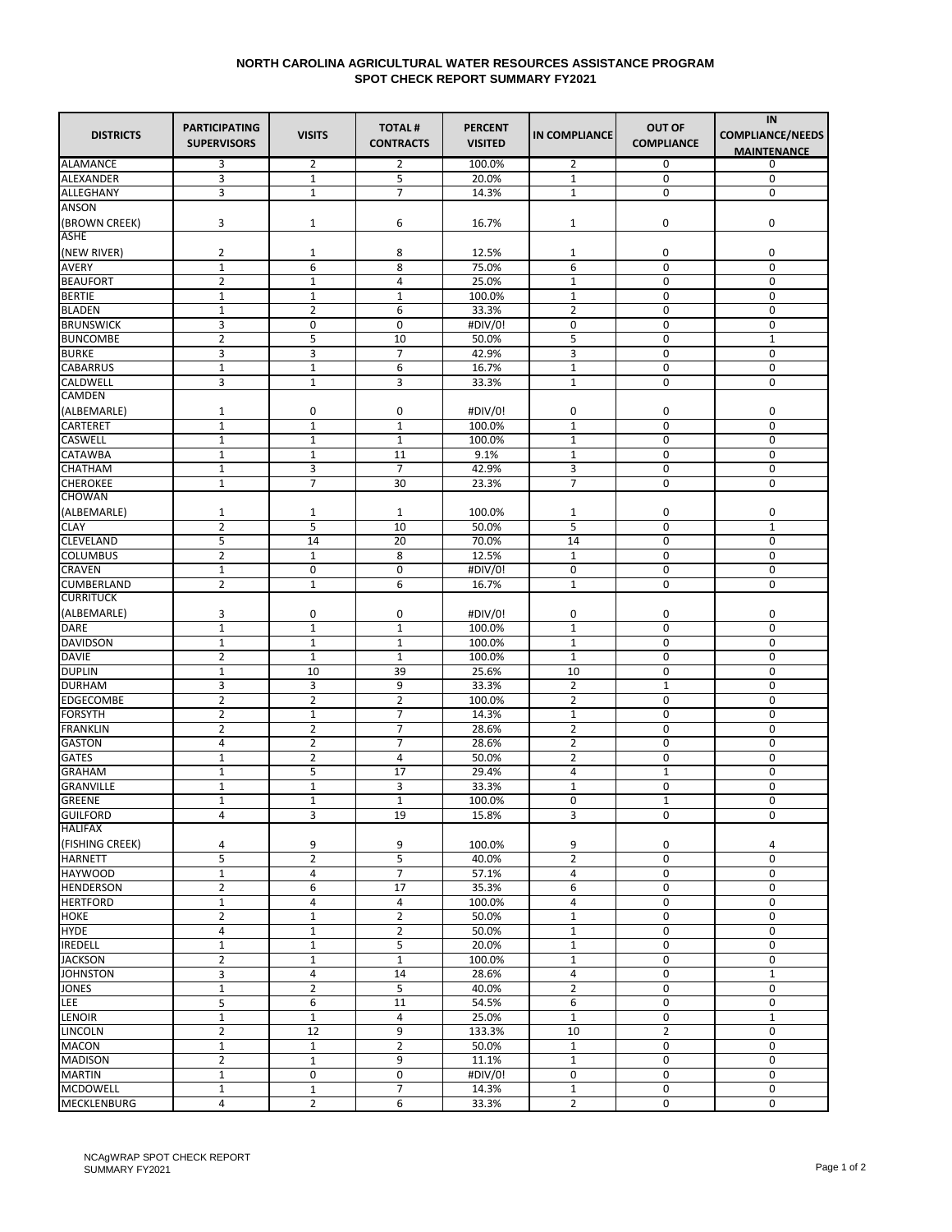## **NORTH CAROLINA AGRICULTURAL WATER RESOURCES ASSISTANCE PROGRAM SPOT CHECK REPORT SUMMARY FY2021**

| <b>DISTRICTS</b>                    | <b>PARTICIPATING</b><br><b>SUPERVISORS</b> | <b>VISITS</b>  | <b>TOTAL#</b><br><b>CONTRACTS</b> | <b>PERCENT</b><br><b>VISITED</b> | <b>IN COMPLIANCE</b> | <b>OUT OF</b><br><b>COMPLIANCE</b> | IN<br><b>COMPLIANCE/NEEDS</b><br><b>MAINTENANCE</b> |
|-------------------------------------|--------------------------------------------|----------------|-----------------------------------|----------------------------------|----------------------|------------------------------------|-----------------------------------------------------|
| <b>ALAMANCE</b>                     | 3                                          | 2              | 2                                 | 100.0%                           | 2                    | 0                                  | 0                                                   |
| <b>ALEXANDER</b>                    | 3                                          | $1\,$          | 5                                 | 20.0%                            | $\mathbf{1}$         | 0                                  | $\mathbf 0$                                         |
| <b>ALLEGHANY</b>                    | 3                                          | $\mathbf{1}$   | $\overline{7}$                    | 14.3%                            | $\mathbf{1}$         | 0                                  | 0                                                   |
| ANSON                               |                                            |                |                                   |                                  |                      |                                    |                                                     |
| (BROWN CREEK)                       | 3                                          | $\mathbf{1}$   | 6                                 | 16.7%                            | $\mathbf{1}$         | 0                                  | 0                                                   |
| <b>ASHE</b>                         |                                            |                |                                   |                                  |                      |                                    |                                                     |
| (NEW RIVER)                         | 2                                          | 1              | 8                                 | 12.5%                            | 1                    | 0                                  | 0                                                   |
| <b>AVERY</b>                        | $\mathbf{1}$                               | 6              | 8                                 | 75.0%                            | 6                    | $\mathbf 0$                        | $\mathbf 0$                                         |
| <b>BEAUFORT</b>                     | 2                                          | $1\,$          | 4                                 | 25.0%                            | $\mathbf{1}$         | 0                                  | 0                                                   |
| <b>BERTIE</b>                       | $\mathbf{1}$                               | $\mathbf 1$    | $\mathbf{1}$                      | 100.0%                           | $\mathbf 1$          | $\mathbf 0$                        | $\mathbf 0$                                         |
| <b>BLADEN</b>                       | 1                                          | $\overline{2}$ | 6                                 | 33.3%                            | $\overline{2}$       | 0                                  | $\mathbf 0$                                         |
| <b>BRUNSWICK</b>                    | 3                                          | 0              | 0                                 | #DIV/0!                          | 0                    | 0                                  | $\mathbf 0$                                         |
| <b>BUNCOMBE</b>                     | 2                                          | 5              | 10                                | 50.0%                            | 5                    | 0                                  | $\mathbf{1}$                                        |
| <b>BURKE</b>                        | 3                                          | 3              | $\overline{7}$                    | 42.9%                            | 3                    | 0                                  | $\mathbf 0$                                         |
| <b>CABARRUS</b>                     | $\mathbf{1}$                               | $1\,$          | 6                                 | 16.7%                            | $\mathbf{1}$         | 0                                  | $\mathbf 0$                                         |
| <b>CALDWELL</b>                     | 3                                          | $\mathbf{1}$   | 3                                 | 33.3%                            | $\mathbf{1}$         | $\mathbf 0$                        | $\mathbf 0$                                         |
| <b>CAMDEN</b>                       |                                            |                |                                   |                                  |                      |                                    |                                                     |
| (ALBEMARLE)                         | 1                                          | 0              | 0                                 | #DIV/0!                          | 0                    | 0                                  | 0                                                   |
| <b>CARTERET</b>                     | $\mathbf{1}$                               | $\mathbf{1}$   | $\mathbf{1}$                      | 100.0%                           | $\mathbf{1}$         | $\mathbf 0$                        | $\mathbf 0$                                         |
| <b>CASWELL</b>                      | 1                                          | 1              | $\mathbf{1}$                      | 100.0%                           | $\mathbf{1}$         | 0                                  | 0                                                   |
| <b>CATAWBA</b>                      | $\mathbf{1}$                               | $\mathbf 1$    | 11                                | 9.1%                             | $\mathbf 1$          | $\mathbf 0$                        | $\mathbf 0$                                         |
| CHATHAM                             | 1                                          | 3              | $\overline{7}$                    | 42.9%                            | 3                    | 0                                  | $\mathbf 0$                                         |
| <b>CHEROKEE</b><br><b>CHOWAN</b>    | $\mathbf 1$                                | $\overline{7}$ | 30                                | 23.3%                            | $\overline{7}$       | 0                                  | 0                                                   |
|                                     |                                            |                |                                   |                                  |                      |                                    |                                                     |
| (ALBEMARLE)                         | 1                                          | 1              | 1<br>10                           | 100.0%                           | $\mathbf{1}$         | 0<br>$\mathbf 0$                   | 0<br>$\mathbf{1}$                                   |
| <b>CLAY</b>                         | 2                                          | 5              |                                   | 50.0%                            | 5                    |                                    |                                                     |
| <b>CLEVELAND</b><br><b>COLUMBUS</b> | 5<br>2                                     | 14<br>$1\,$    | 20<br>8                           | 70.0%<br>12.5%                   | 14<br>$\mathbf{1}$   | 0<br>0                             | 0<br>0                                              |
| <b>CRAVEN</b>                       | $\mathbf 1$                                | 0              | 0                                 | #DIV/0!                          | 0                    | 0                                  | 0                                                   |
| <b>CUMBERLAND</b>                   | $\overline{2}$                             | $\mathbf{1}$   | 6                                 | 16.7%                            | $\mathbf{1}$         | 0                                  | 0                                                   |
| <b>CURRITUCK</b>                    |                                            |                |                                   |                                  |                      |                                    |                                                     |
| (ALBEMARLE)                         | 3                                          | 0              | 0                                 | #DIV/0!                          | 0                    | 0                                  | 0                                                   |
| <b>DARE</b>                         | $\mathbf{1}$                               | $\mathbf{1}$   | $1\,$                             | 100.0%                           | $\mathbf{1}$         | 0                                  | $\mathbf 0$                                         |
| <b>DAVIDSON</b>                     | $\mathbf{1}$                               | $\mathbf{1}$   | $\mathbf{1}$                      | 100.0%                           | $\mathbf{1}$         | 0                                  | $\mathbf 0$                                         |
| <b>DAVIE</b>                        | 2                                          | $\mathbf{1}$   | $\mathbf{1}$                      | 100.0%                           | $\mathbf{1}$         | 0                                  | $\mathbf 0$                                         |
| <b>DUPLIN</b>                       | $\mathbf{1}$                               | 10             | 39                                | 25.6%                            | 10                   | $\mathbf 0$                        | $\mathbf 0$                                         |
| <b>DURHAM</b>                       | 3                                          | 3              | 9                                 | 33.3%                            | $\overline{2}$       | $\mathbf 1$                        | 0                                                   |
| <b>EDGECOMBE</b>                    | 2                                          | 2              | $\overline{2}$                    | 100.0%                           | 2                    | 0                                  | 0                                                   |
| <b>FORSYTH</b>                      | 2                                          | $\mathbf{1}$   | 7                                 | 14.3%                            | $\mathbf{1}$         | 0                                  | 0                                                   |
| <b>FRANKLIN</b>                     | $\overline{2}$                             | $\overline{2}$ | $\overline{7}$                    | 28.6%                            | $\overline{2}$       | 0                                  | $\mathbf 0$                                         |
| <b>GASTON</b>                       | 4                                          | $\overline{2}$ | 7                                 | 28.6%                            | $\overline{2}$       | 0                                  | $\mathbf 0$                                         |
| <b>GATES</b>                        | $\mathbf{1}$                               | $\overline{2}$ | 4                                 | 50.0%                            | $\overline{2}$       | 0                                  | $\mathbf 0$                                         |
| <b>GRAHAM</b>                       | $\mathbf{1}$                               | 5              | 17                                | 29.4%                            | 4                    | $\mathbf 1$                        | $\mathbf 0$                                         |
| <b>GRANVILLE</b>                    | 1                                          | 1              | 3                                 | 33.3%                            | $\mathbf{1}$         | 0                                  | 0                                                   |
| <b>GREENE</b>                       | $\mathbf{1}$                               | $\mathbf{1}$   | $\mathbf{1}$                      | 100.0%                           | 0                    | $\mathbf{1}$                       | 0                                                   |
| <b>GUILFORD</b>                     | 4                                          | 3              | 19                                | 15.8%                            | 3                    | 0                                  | 0                                                   |
| <b>HALIFAX</b>                      |                                            |                |                                   |                                  |                      |                                    |                                                     |
| (FISHING CREEK)                     | 4                                          | 9              | 9                                 | 100.0%                           | 9                    | 0                                  | 4                                                   |
| <b>HARNETT</b>                      | 5                                          | $\overline{2}$ | 5                                 | 40.0%                            | $\overline{2}$       | 0                                  | 0                                                   |
| <b>HAYWOOD</b>                      | $\mathbf{1}$                               | 4              | $\overline{7}$                    | 57.1%                            | 4                    | 0                                  | 0                                                   |
| <b>HENDERSON</b>                    | $\overline{2}$                             | 6              | 17                                | 35.3%                            | 6                    | 0                                  | $\mathbf 0$                                         |
| <b>HERTFORD</b>                     | $\mathbf 1$                                | 4              | 4                                 | 100.0%                           | 4                    | 0                                  | 0                                                   |
| <b>HOKE</b>                         | $\overline{2}$                             | $1\,$          | $\overline{2}$                    | 50.0%                            | $\mathbf 1$          | 0                                  | 0                                                   |
| <b>HYDE</b>                         | 4                                          | $\mathbf 1$    | $\overline{2}$                    | 50.0%                            | $\mathbf 1$          | 0                                  | 0                                                   |
| <b>IREDELL</b>                      | $\mathbf{1}$                               | $\mathbf{1}$   | 5                                 | 20.0%                            | $\mathbf{1}$         | 0                                  | 0                                                   |
| <b>JACKSON</b>                      | $\overline{2}$                             | $\mathbf 1$    | $1\,$                             | 100.0%                           | $\mathbf{1}$         | 0                                  | $\mathbf 0$                                         |
| <b>JOHNSTON</b>                     | 3                                          | 4              | 14                                | 28.6%                            | 4                    | 0                                  | $\mathbf{1}$                                        |
| <b>JONES</b>                        | $\mathbf 1$                                | $\overline{2}$ | 5                                 | 40.0%                            | $\overline{2}$       | $\mathbf 0$                        | $\mathbf 0$                                         |
| LEE                                 | 5                                          | 6              | 11                                | 54.5%                            | 6                    | 0                                  | 0                                                   |
| <b>LENOIR</b>                       | $\mathbf{1}$                               | $\mathbf 1$    | 4                                 | 25.0%                            | $\mathbf{1}$         | 0                                  | $\mathbf{1}$                                        |
| <b>LINCOLN</b>                      | $\overline{2}$                             | 12             | 9                                 | 133.3%                           | 10                   | $\overline{2}$                     | 0                                                   |
| <b>MACON</b>                        | $\mathbf{1}$                               | $\mathbf{1}$   | $\overline{2}$                    | 50.0%                            | $\mathbf{1}$         | 0                                  | 0                                                   |
| <b>MADISON</b>                      | $\overline{2}$                             | $1\,$          | 9                                 | 11.1%                            | $\mathbf{1}$         | 0                                  | $\mathbf 0$                                         |
| <b>MARTIN</b>                       | $\mathbf 1$                                | 0              | 0                                 | #DIV/0!                          | 0                    | 0                                  | $\mathbf 0$                                         |
| <b>MCDOWELL</b>                     | $\mathbf{1}$                               | $\mathbf{1}$   | 7                                 | 14.3%                            | $1\,$                | 0                                  | 0                                                   |
| <b>MECKLENBURG</b>                  | 4                                          | $\overline{2}$ | 6                                 | 33.3%                            | $\overline{2}$       | 0                                  | 0                                                   |